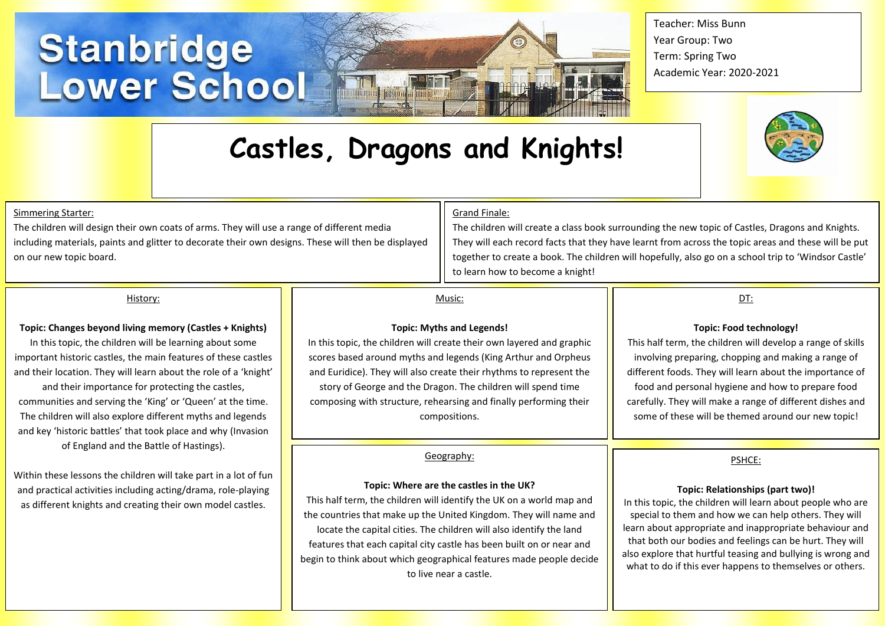# **Stanbridge<br>Lower School**

Teacher: Miss Bunn Year Group: Two Term: Spring Two Academic Year: 2020-2021

## **Castles, Dragons and Knights!**



#### Simmering Starter:

The children will design their own coats of arms. They will use a range of different media including materials, paints and glitter to decorate their own designs. These will then be displayed on our new topic board.

#### Grand Finale:

The children will create a class book surrounding the new topic of Castles, Dragons and Knights. They will each record facts that they have learnt from across the topic areas and these will be put together to create a book. The children will hopefully, also go on a school trip to 'Windsor Castle' to learn how to become a knight!

#### History:

#### **Topic: Changes beyond living memory (Castles + Knights)**

In this topic, the children will be learning about some important historic castles, the main features of these castles and their location. They will learn about the role of a 'knight' and their importance for protecting the castles, communities and serving the 'King' or 'Queen' at the time. The children will also explore different myths and legends and key 'historic battles' that took place and why (Invasion of England and the Battle of Hastings).

Within these lessons the children will take part in a lot of fun and practical activities including acting/drama, role-playing as different knights and creating their own model castles.

#### Music:

#### **Topic: Myths and Legends!**

In this topic, the children will create their own layered and graphic scores based around myths and legends (King Arthur and Orpheus and Euridice). They will also create their rhythms to represent the story of George and the Dragon. The children will spend time composing with structure, rehearsing and finally performing their compositions.

#### Geography:

#### **Topic: Where are the castles in the UK?**

This half term, the children will identify the UK on a world map and the countries that make up the United Kingdom. They will name and locate the capital cities. The children will also identify the land features that each capital city castle has been built on or near and begin to think about which geographical features made people decide to live near a castle.

### DT:

#### **Topic: Food technology!**

This half term, the children will develop a range of skills involving preparing, chopping and making a range of different foods. They will learn about the importance of food and personal hygiene and how to prepare food carefully. They will make a range of different dishes and some of these will be themed around our new topic!

#### PSHCE:

#### **Topic: Relationships (part two)!**

In this topic, the children will learn about people who are special to them and how we can help others. They will learn about appropriate and inappropriate behaviour and that both our bodies and feelings can be hurt. They will also explore that hurtful teasing and bullying is wrong and what to do if this ever happens to themselves or others.